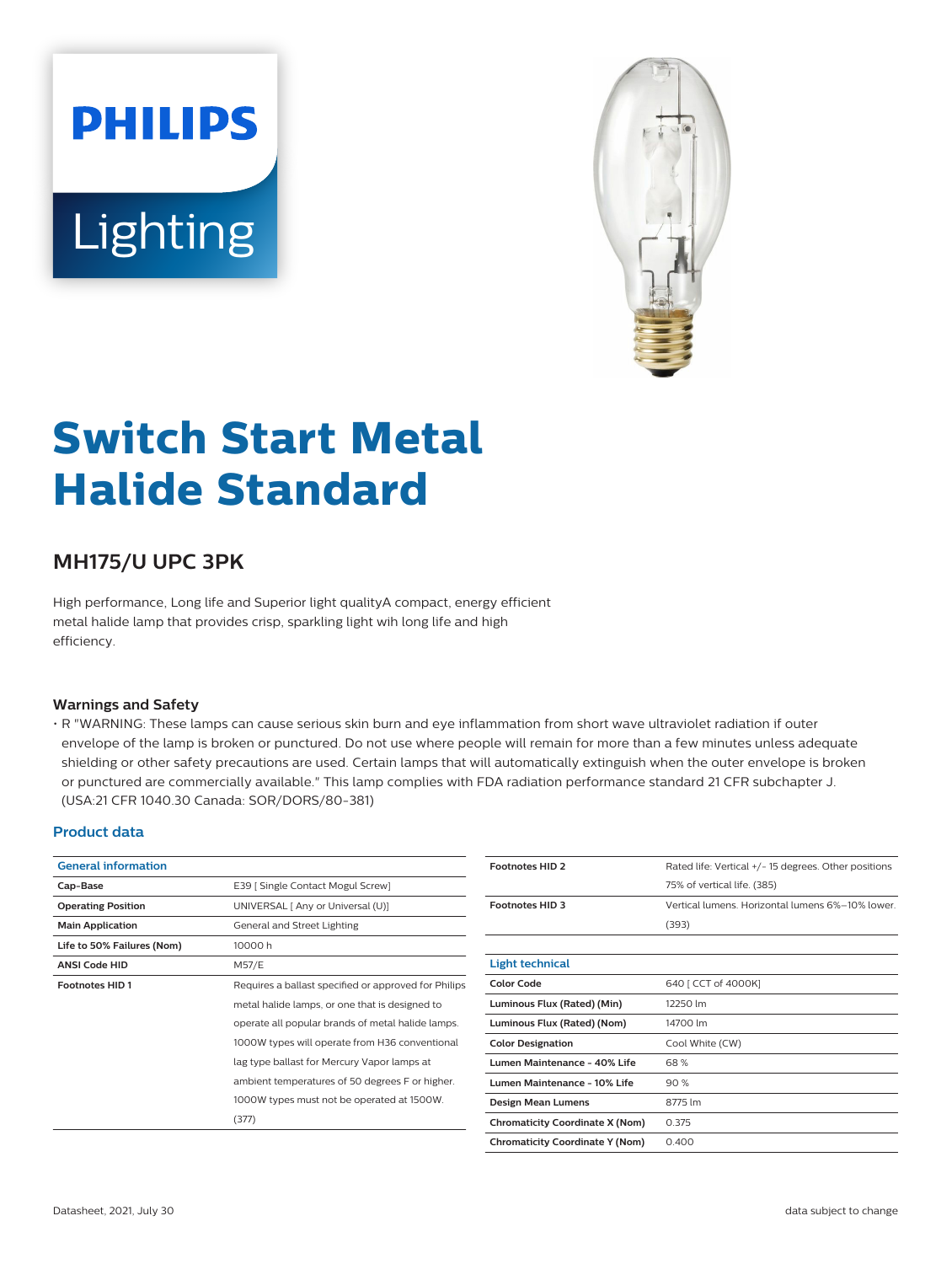# **PHILIPS** Lighting



# **Switch Start Metal Halide Standard**

# **MH175/U UPC 3PK**

High performance, Long life and Superior light qualityA compact, energy efficient metal halide lamp that provides crisp, sparkling light wih long life and high efficiency.

#### **Warnings and Safety**

• R "WARNING: These lamps can cause serious skin burn and eye inflammation from short wave ultraviolet radiation if outer envelope of the lamp is broken or punctured. Do not use where people will remain for more than a few minutes unless adequate shielding or other safety precautions are used. Certain lamps that will automatically extinguish when the outer envelope is broken or punctured are commercially available." This lamp complies with FDA radiation performance standard 21 CFR subchapter J. (USA:21 CFR 1040.30 Canada: SOR/DORS/80-381)

#### **Product data**

| <b>General information</b> |                                                      |  |
|----------------------------|------------------------------------------------------|--|
| Cap-Base                   | E39   Single Contact Mogul Screw]                    |  |
| <b>Operating Position</b>  | UNIVERSAL [ Any or Universal (U)]                    |  |
| <b>Main Application</b>    | General and Street Lighting                          |  |
| Life to 50% Failures (Nom) | 10000h                                               |  |
| <b>ANSI Code HID</b>       | M57/E                                                |  |
| <b>Footnotes HID1</b>      | Requires a ballast specified or approved for Philips |  |
|                            | metal halide lamps, or one that is designed to       |  |
|                            | operate all popular brands of metal halide lamps.    |  |
|                            | 1000W types will operate from H36 conventional       |  |
|                            | lag type ballast for Mercury Vapor lamps at          |  |
|                            | ambient temperatures of 50 degrees F or higher.      |  |
|                            | 1000W types must not be operated at 1500W.           |  |
|                            | (377)                                                |  |

| <b>Footnotes HID 2</b>                 | Rated life: Vertical +/- 15 degrees. Other positions |  |
|----------------------------------------|------------------------------------------------------|--|
|                                        | 75% of vertical life. (385)                          |  |
| <b>Footnotes HID 3</b>                 | Vertical lumens. Horizontal lumens 6%-10% lower.     |  |
|                                        | (393)                                                |  |
|                                        |                                                      |  |
| <b>Light technical</b>                 |                                                      |  |
| Color Code                             | 640 [ CCT of 4000K]                                  |  |
| Luminous Flux (Rated) (Min)            | 12250 lm                                             |  |
| Luminous Flux (Rated) (Nom)            | 14700 lm                                             |  |
| <b>Color Designation</b>               | Cool White (CW)                                      |  |
| Lumen Maintenance - 40% Life           | 68%                                                  |  |
| Lumen Maintenance - 10% Life           | 90%                                                  |  |
| Design Mean Lumens                     | 8775 lm                                              |  |
| <b>Chromaticity Coordinate X (Nom)</b> | 0.375                                                |  |
| <b>Chromaticity Coordinate Y (Nom)</b> | 0.400                                                |  |
|                                        |                                                      |  |